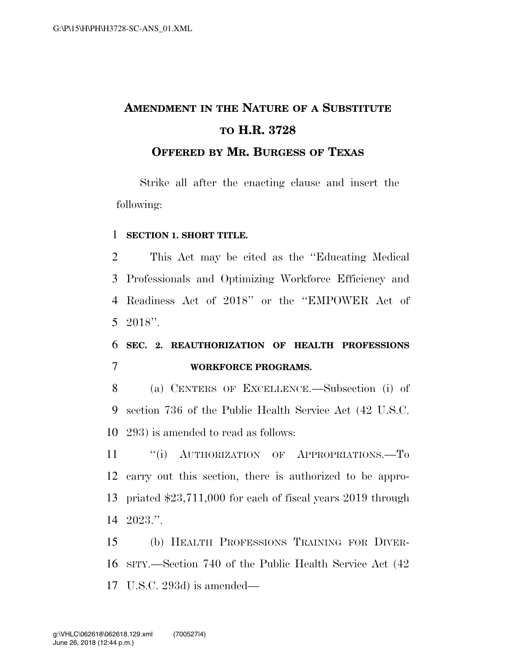# **AMENDMENT IN THE NATURE OF A SUBSTITUTE TO H.R. 3728**

**OFFERED BY MR. BURGESS OF TEXAS**

Strike all after the enacting clause and insert the following:

#### **SECTION 1. SHORT TITLE.**

 This Act may be cited as the ''Educating Medical Professionals and Optimizing Workforce Efficiency and Readiness Act of 2018'' or the ''EMPOWER Act of 2018''.

### **SEC. 2. REAUTHORIZATION OF HEALTH PROFESSIONS WORKFORCE PROGRAMS.**

 (a) CENTERS OF EXCELLENCE.—Subsection (i) of section 736 of the Public Health Service Act (42 U.S.C. 293) is amended to read as follows:

11 "(i) AUTHORIZATION OF APPROPRIATIONS.—To carry out this section, there is authorized to be appro- priated \$23,711,000 for each of fiscal years 2019 through 2023.''.

 (b) HEALTH PROFESSIONS TRAINING FOR DIVER- SITY.—Section 740 of the Public Health Service Act (42 U.S.C. 293d) is amended—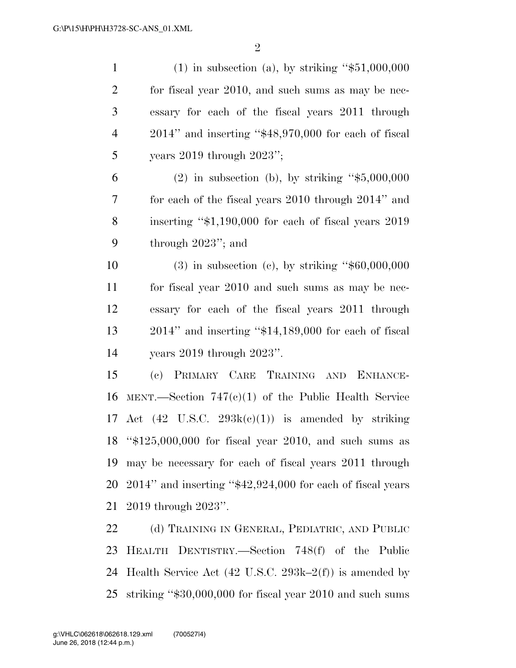| $\mathbf{1}$   | $(1)$ in subsection (a), by striking "\$51,000,000                  |
|----------------|---------------------------------------------------------------------|
| $\overline{2}$ | for fiscal year 2010, and such sums as may be nec-                  |
| 3              | essary for each of the fiscal years 2011 through                    |
| $\overline{4}$ | $2014$ " and inserting " $$48,970,000$ for each of fiscal           |
| 5              | years $2019$ through $2023$ ";                                      |
| 6              | $(2)$ in subsection (b), by striking "\$5,000,000                   |
| 7              | for each of the fiscal years 2010 through 2014" and                 |
| 8              | inserting "\$1,190,000 for each of fiscal years 2019                |
| 9              | through $2023$ "; and                                               |
| 10             | $(3)$ in subsection $(e)$ , by striking "\$60,000,000               |
| 11             | for fiscal year 2010 and such sums as may be nec-                   |
| 12             | essary for each of the fiscal years 2011 through                    |
| 13             | $2014$ " and inserting " $$14,189,000$ for each of fiscal           |
| 14             | years $2019$ through $2023$ ".                                      |
| 15             | (c) PRIMARY CARE TRAINING AND ENHANCE-                              |
| 16             | MENT.—Section $747(c)(1)$ of the Public Health Service              |
| 17             | Act $(42 \text{ U.S.C. } 293\text{k}(c)(1))$ is amended by striking |
|                | 18 " $$125,000,000$ for fiscal year 2010, and such sums as          |
| 19             | may be necessary for each of fiscal years 2011 through              |
| 20             | $2014$ " and inserting " $$42,924,000$ for each of fiscal years     |
| 21             | 2019 through 2023".                                                 |
| 22             | (d) TRAINING IN GENERAL, PEDIATRIC, AND PUBLIC                      |
| 23             | HEALTH DENTISTRY.—Section 748(f) of the Public                      |
| 24             | Health Service Act (42 U.S.C. 293k–2 $(f)$ ) is amended by          |

striking ''\$30,000,000 for fiscal year 2010 and such sums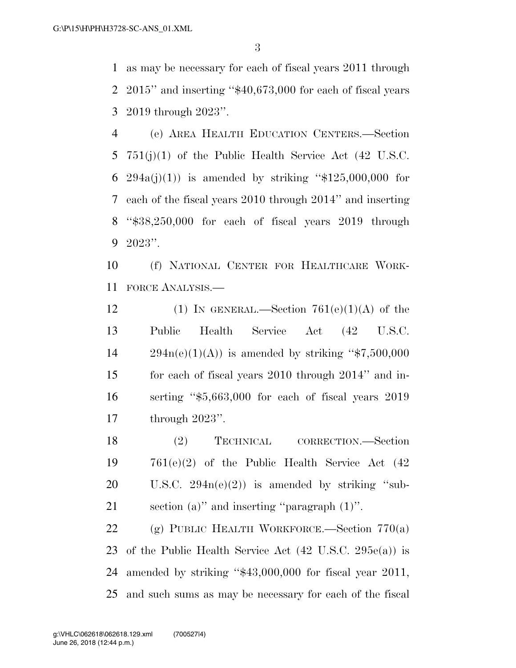as may be necessary for each of fiscal years 2011 through 2015'' and inserting ''\$40,673,000 for each of fiscal years 2019 through 2023''.

 (e) AREA HEALTH EDUCATION CENTERS.—Section 751(j)(1) of the Public Health Service Act (42 U.S.C. 6 294a(j)(1)) is amended by striking " $$125,000,000$  for each of the fiscal years 2010 through 2014'' and inserting ''\$38,250,000 for each of fiscal years 2019 through 2023''.

 (f) NATIONAL CENTER FOR HEALTHCARE WORK-FORCE ANALYSIS.—

12 (1) IN GENERAL.—Section  $761(e)(1)(A)$  of the Public Health Service Act (42 U.S.C.  $294n(e)(1)(A)$  is amended by striking "\$7,500,000 for each of fiscal years 2010 through 2014'' and in- serting ''\$5,663,000 for each of fiscal years 2019 through 2023''.

18 (2) TECHNICAL CORRECTION.—Section 761(e)(2) of the Public Health Service Act (42 20 U.S.C.  $294n(e)(2)$  is amended by striking "sub-section (a)'' and inserting ''paragraph (1)''.

 (g) PUBLIC HEALTH WORKFORCE.—Section 770(a) of the Public Health Service Act (42 U.S.C. 295e(a)) is amended by striking ''\$43,000,000 for fiscal year 2011, and such sums as may be necessary for each of the fiscal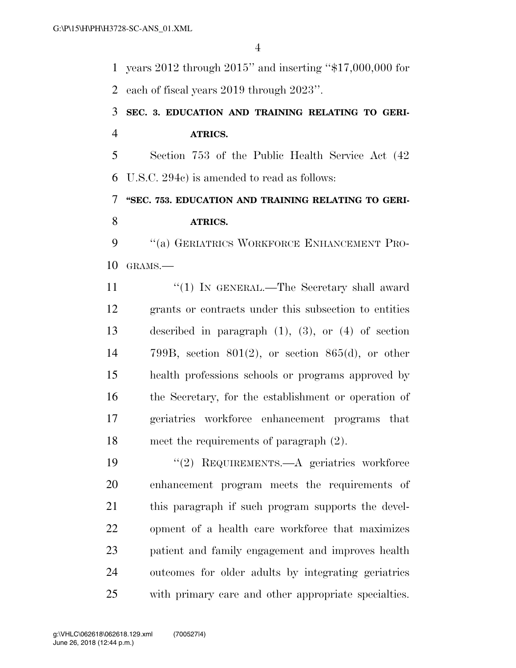years 2012 through 2015'' and inserting ''\$17,000,000 for each of fiscal years 2019 through 2023''.

## **SEC. 3. EDUCATION AND TRAINING RELATING TO GERI-ATRICS.**

 Section 753 of the Public Health Service Act (42 U.S.C. 294c) is amended to read as follows:

# **''SEC. 753. EDUCATION AND TRAINING RELATING TO GERI-ATRICS.**

9 "(a) GERIATRICS WORKFORCE ENHANCEMENT PRO-GRAMS.—

11 ''(1) IN GENERAL.—The Secretary shall award grants or contracts under this subsection to entities described in paragraph (1), (3), or (4) of section 799B, section 801(2), or section 865(d), or other health professions schools or programs approved by the Secretary, for the establishment or operation of geriatrics workforce enhancement programs that meet the requirements of paragraph (2).

 ''(2) REQUIREMENTS.—A geriatrics workforce enhancement program meets the requirements of this paragraph if such program supports the devel- opment of a health care workforce that maximizes patient and family engagement and improves health outcomes for older adults by integrating geriatrics with primary care and other appropriate specialties.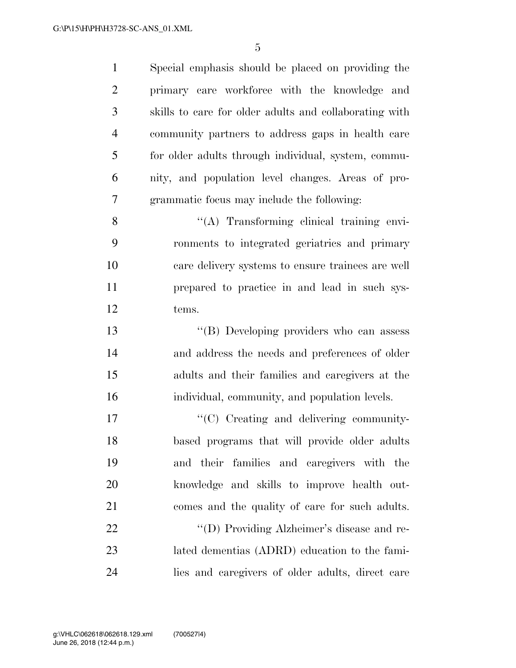Special emphasis should be placed on providing the primary care workforce with the knowledge and skills to care for older adults and collaborating with community partners to address gaps in health care for older adults through individual, system, commu- nity, and population level changes. Areas of pro- grammatic focus may include the following: 8 ''(A) Transforming clinical training envi- ronments to integrated geriatrics and primary care delivery systems to ensure trainees are well prepared to practice in and lead in such sys- tems. ''(B) Developing providers who can assess and address the needs and preferences of older adults and their families and caregivers at the individual, community, and population levels.  $\lq\lq\lq\lq\lq\lq\lq\lq\lq\lq\lq\lq\lq$  (C) Creating and delivering community- based programs that will provide older adults and their families and caregivers with the knowledge and skills to improve health out- comes and the quality of care for such adults. ''(D) Providing Alzheimer's disease and re- lated dementias (ADRD) education to the fami-lies and caregivers of older adults, direct care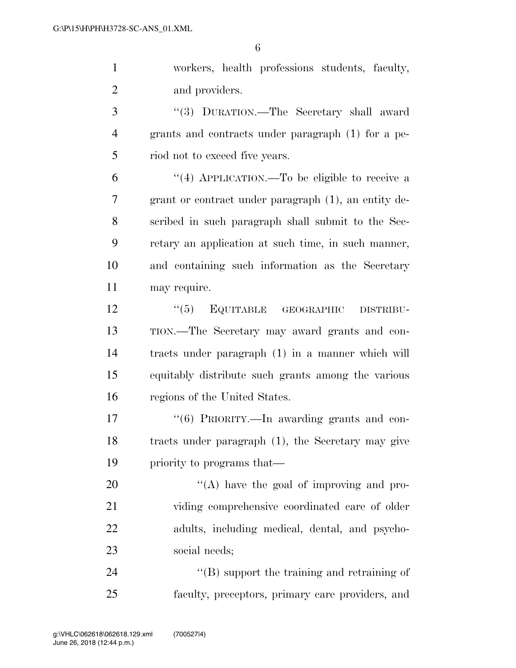workers, health professions students, faculty, and providers.

 ''(3) DURATION.—The Secretary shall award grants and contracts under paragraph (1) for a pe-5 riod not to exceed five years.

 ''(4) APPLICATION.—To be eligible to receive a grant or contract under paragraph (1), an entity de- scribed in such paragraph shall submit to the Sec- retary an application at such time, in such manner, and containing such information as the Secretary may require.

12 "(5) EQUITABLE GEOGRAPHIC DISTRIBU- TION.—The Secretary may award grants and con- tracts under paragraph (1) in a manner which will equitably distribute such grants among the various regions of the United States.

17 "(6) PRIORITY.—In awarding grants and con- tracts under paragraph (1), the Secretary may give priority to programs that—

20 "'(A) have the goal of improving and pro- viding comprehensive coordinated care of older adults, including medical, dental, and psycho-social needs;

24  $\langle$  (B) support the training and retraining of faculty, preceptors, primary care providers, and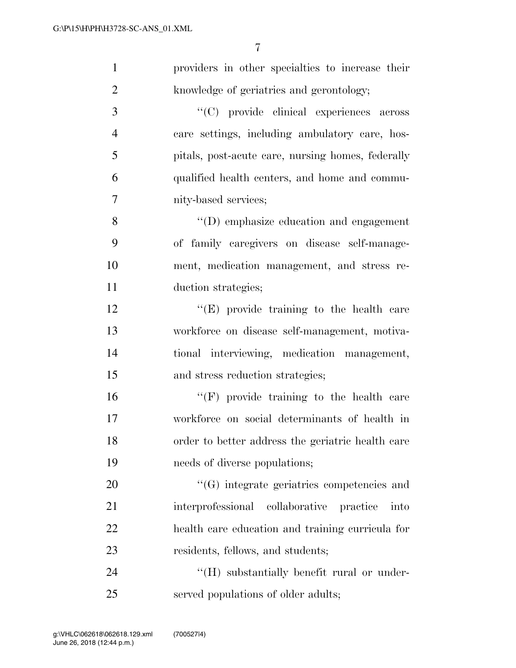| $\mathbf{1}$   | providers in other specialties to increase their       |
|----------------|--------------------------------------------------------|
| $\overline{2}$ | knowledge of geriatrics and gerontology;               |
| 3              | "(C) provide clinical experiences across               |
| $\overline{4}$ | care settings, including ambulatory care, hos-         |
| 5              | pitals, post-acute care, nursing homes, federally      |
| 6              | qualified health centers, and home and commu-          |
| $\overline{7}$ | nity-based services;                                   |
| 8              | "(D) emphasize education and engagement                |
| 9              | of family caregivers on disease self-manage-           |
| 10             | ment, medication management, and stress re-            |
| 11             | duction strategies;                                    |
| 12             | $\lq\lq(E)$ provide training to the health care        |
| 13             | workforce on disease self-management, motiva-          |
| 14             | tional interviewing, medication management,            |
| 15             | and stress reduction strategies;                       |
| 16             | $\lq\lq(F)$ provide training to the health care        |
| 17             | workforce on social determinants of health in          |
| 18             | order to better address the geriatric health care      |
| 19             | needs of diverse populations;                          |
| 20             | "(G) integrate geriatrics competencies and             |
| 21             | collaborative<br>interprofessional<br>practice<br>into |
| 22             | health care education and training curricula for       |
| 23             | residents, fellows, and students;                      |
| 24             | "(H) substantially benefit rural or under-             |
| 25             | served populations of older adults;                    |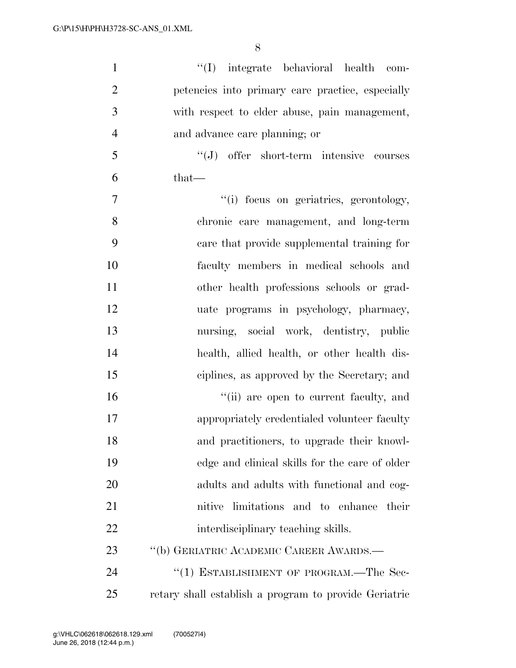| $\mathbf{1}$   | "(I) integrate behavioral health com-                 |
|----------------|-------------------------------------------------------|
| $\overline{2}$ | petencies into primary care practice, especially      |
| 3              | with respect to elder abuse, pain management,         |
| $\overline{4}$ | and advance care planning; or                         |
| 5              | "(J) offer short-term intensive courses               |
| 6              | $that-$                                               |
| 7              | "(i) focus on geriatrics, gerontology,                |
| 8              | chronic care management, and long-term                |
| 9              | care that provide supplemental training for           |
| 10             | faculty members in medical schools and                |
| 11             | other health professions schools or grad-             |
| 12             | uate programs in psychology, pharmacy,                |
| 13             | nursing, social work, dentistry, public               |
| 14             | health, allied health, or other health dis-           |
| 15             | ciplines, as approved by the Secretary; and           |
| 16             | "(ii) are open to current faculty, and                |
| 17             | appropriately credentialed volunteer faculty          |
| 18             | and practitioners, to upgrade their knowl-            |
| 19             | edge and clinical skills for the care of older        |
| <b>20</b>      | adults and adults with functional and cog-            |
| 21             | nitive limitations and to enhance their               |
| 22             | interdisciplinary teaching skills.                    |
| 23             | "(b) GERIATRIC ACADEMIC CAREER AWARDS.—               |
| 24             | "(1) ESTABLISHMENT OF PROGRAM.—The Sec-               |
| 25             | retary shall establish a program to provide Geriatric |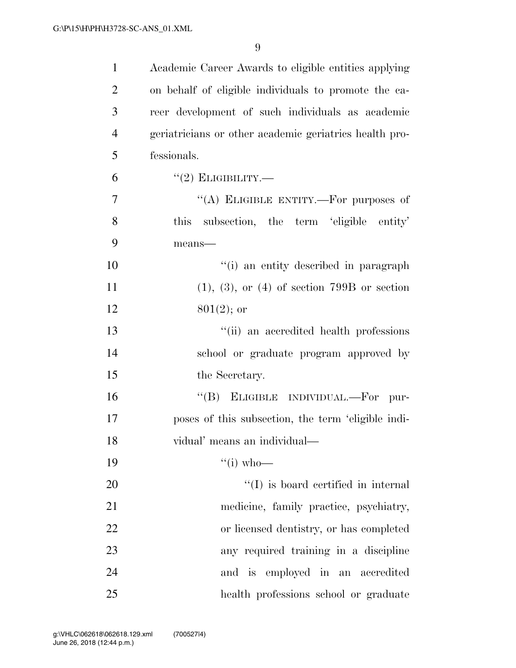| $\mathbf{1}$   | Academic Career Awards to eligible entities applying   |
|----------------|--------------------------------------------------------|
| $\overline{2}$ | on behalf of eligible individuals to promote the ca-   |
| 3              | reer development of such individuals as academic       |
| $\overline{4}$ | geriatricians or other academic geriatrics health pro- |
| 5              | fessionals.                                            |
| 6              | $``(2)$ ELIGIBILITY.—                                  |
| $\tau$         | "(A) ELIGIBLE ENTITY.—For purposes of                  |
| 8              | subsection, the term 'eligible entity'<br>this         |
| 9              | means-                                                 |
| 10             | "(i) an entity described in paragraph                  |
| 11             | $(1), (3),$ or $(4)$ of section 799B or section        |
| 12             | $801(2)$ ; or                                          |
| 13             | "(ii) an accredited health professions                 |
| 14             | school or graduate program approved by                 |
| 15             | the Secretary.                                         |
| 16             | "(B) ELIGIBLE INDIVIDUAL.—For<br>pur-                  |
| 17             | poses of this subsection, the term 'eligible indi-     |
| 18             | vidual' means an individual—                           |
| 19             | $\lq\lq$ (i) who—                                      |
| 20             | $\lq\lq$ is board certified in internal                |
| 21             | medicine, family practice, psychiatry,                 |
| 22             | or licensed dentistry, or has completed                |
| 23             | any required training in a discipline                  |
| 24             | and is employed in an accredited                       |
| 25             | health professions school or graduate                  |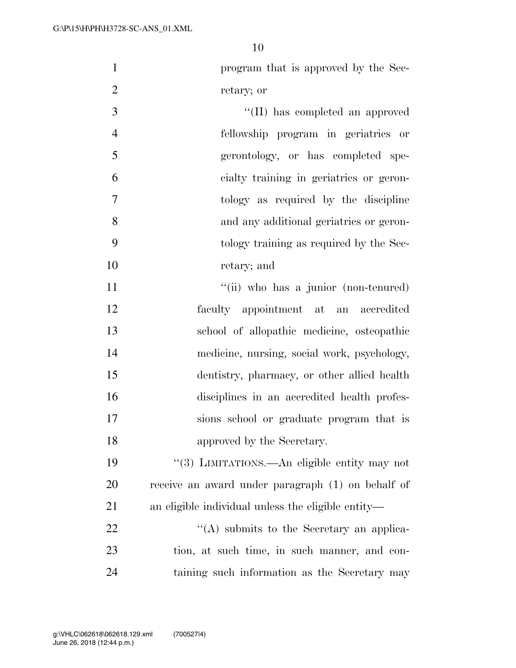program that is approved by the Sec-retary; or

 ''(II) has completed an approved fellowship program in geriatrics or gerontology, or has completed spe- cialty training in geriatrics or geron- tology as required by the discipline and any additional geriatrics or geron- tology training as required by the Sec-retary; and

11 ''(ii) who has a junior (non-tenured) faculty appointment at an accredited school of allopathic medicine, osteopathic medicine, nursing, social work, psychology, dentistry, pharmacy, or other allied health disciplines in an accredited health profes- sions school or graduate program that is approved by the Secretary.

 ''(3) LIMITATIONS.—An eligible entity may not receive an award under paragraph (1) on behalf of an eligible individual unless the eligible entity—

22 ''(A) submits to the Secretary an applica- tion, at such time, in such manner, and con-taining such information as the Secretary may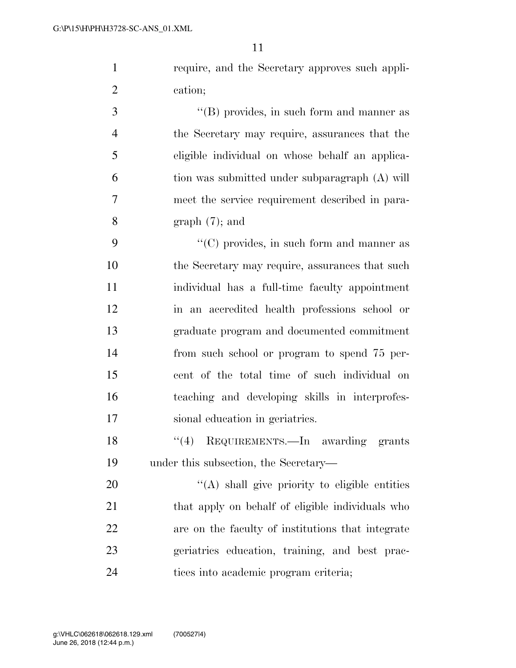require, and the Secretary approves such appli-cation;

3 ''(B) provides, in such form and manner as the Secretary may require, assurances that the eligible individual on whose behalf an applica- tion was submitted under subparagraph (A) will meet the service requirement described in para-8 graph  $(7)$ ; and

9 ''(C) provides, in such form and manner as the Secretary may require, assurances that such individual has a full-time faculty appointment in an accredited health professions school or graduate program and documented commitment from such school or program to spend 75 per- cent of the total time of such individual on teaching and developing skills in interprofes-sional education in geriatrics.

18 ''(4) REQUIREMENTS.—In awarding grants under this subsection, the Secretary—

 $\langle (A)$  shall give priority to eligible entities 21 that apply on behalf of eligible individuals who are on the faculty of institutions that integrate geriatrics education, training, and best prac-tices into academic program criteria;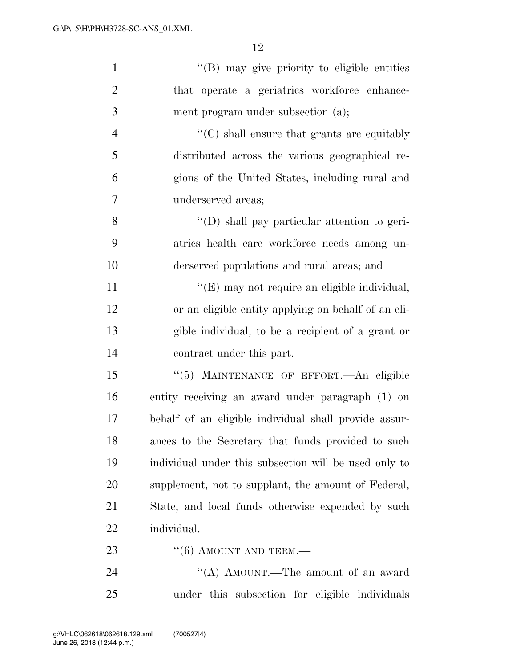| $\mathbf{1}$   | "(B) may give priority to eligible entities           |
|----------------|-------------------------------------------------------|
| $\overline{2}$ | that operate a geriatrics workforce enhance-          |
| 3              | ment program under subsection (a);                    |
| $\overline{4}$ | $\lq\lq (C)$ shall ensure that grants are equitably   |
| 5              | distributed across the various geographical re-       |
| 6              | gions of the United States, including rural and       |
| 7              | underserved areas;                                    |
| 8              | "(D) shall pay particular attention to geri-          |
| 9              | atrics health care workforce needs among un-          |
| 10             | derserved populations and rural areas; and            |
| 11             | "(E) may not require an eligible individual,          |
| 12             | or an eligible entity applying on behalf of an eli-   |
| 13             | gible individual, to be a recipient of a grant or     |
| 14             | contract under this part.                             |
| 15             | "(5) MAINTENANCE OF EFFORT. An eligible               |
| 16             | entity receiving an award under paragraph (1) on      |
| 17             | behalf of an eligible individual shall provide assur- |
| 18             | ances to the Secretary that funds provided to such    |
| 19             | individual under this subsection will be used only to |
| 20             | supplement, not to supplant, the amount of Federal,   |
| 21             | State, and local funds otherwise expended by such     |
| <u>22</u>      | individual.                                           |
| 23             | $``(6)$ AMOUNT AND TERM.—                             |
| 24             | "(A) AMOUNT.—The amount of an award                   |
| $25\,$         | under this subsection for eligible individuals        |